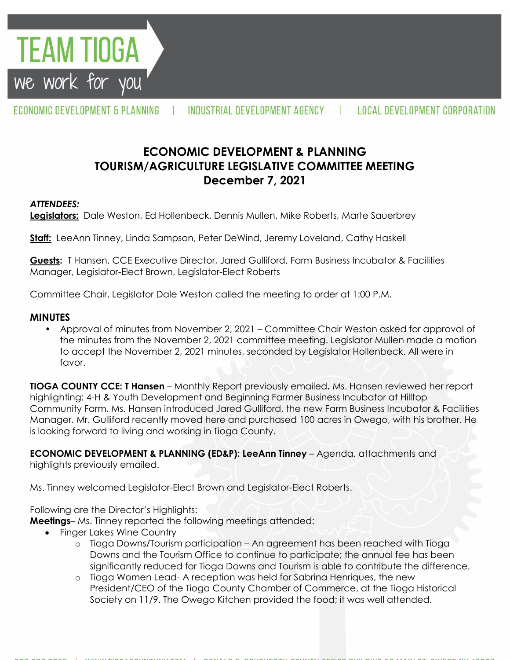

ECONOMIC DEVELOPMENT & PLANNING

INDUSTRIAL DEVELOPMENT AGENCY

# **ECONOMIC DEVELOPMENT & PLANNING TOURISM/AGRICULTURE LEGISLATIVE COMMITTEE MEETING December 7, 2021**

#### *ATTENDEES:*

**Legislators:** Dale Weston, Ed Hollenbeck, Dennis Mullen, Mike Roberts, Marte Sauerbrey

**Staff:** LeeAnn Tinney, Linda Sampson, Peter DeWind, Jeremy Loveland, Cathy Haskell

**Guests:** T Hansen, CCE Executive Director, Jared Gulliford, Farm Business Incubator & Facilities Manager, Legislator-Elect Brown, Legislator-Elect Roberts

Committee Chair, Legislator Dale Weston called the meeting to order at 1:00 P.M.

#### **MINUTES**

• Approval of minutes from November 2, 2021 – Committee Chair Weston asked for approval of the minutes from the November 2, 2021 committee meeting. Legislator Mullen made a motion to accept the November 2, 2021 minutes, seconded by Legislator Hollenbeck. All were in favor.

**TIOGA COUNTY CCE: T Hansen** – Monthly Report previously emailed**.** Ms. Hansen reviewed her report highlighting: 4-H & Youth Development and Beginning Farmer Business Incubator at Hilltop Community Farm. Ms. Hansen introduced Jared Gulliford, the new Farm Business Incubator & Facilities Manager. Mr. Gulliford recently moved here and purchased 100 acres in Owego, with his brother. He is looking forward to living and working in Tioga County.

**ECONOMIC DEVELOPMENT & PLANNING (ED&P): LeeAnn Tinney** – Agenda, attachments and highlights previously emailed.

Ms. Tinney welcomed Legislator-Elect Brown and Legislator-Elect Roberts.

Following are the Director's Highlights:

**Meetings**– Ms. Tinney reported the following meetings attended:

- Finger Lakes Wine Country
	- o Tioga Downs/Tourism participation An agreement has been reached with Tioga Downs and the Tourism Office to continue to participate; the annual fee has been significantly reduced for Tioga Downs and Tourism is able to contribute the difference.
	- o Tioga Women Lead- A reception was held for Sabrina Henriques, the new President/CEO of the Tioga County Chamber of Commerce, at the Tioga Historical Society on 11/9. The Owego Kitchen provided the food; it was well attended.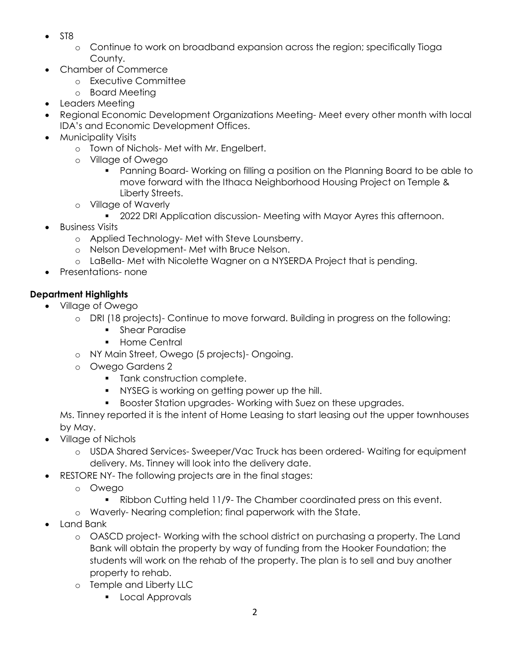- $\bullet$  ST8
	- o Continue to work on broadband expansion across the region; specifically Tioga County.
- Chamber of Commerce
	- o Executive Committee
	- o Board Meeting
- Leaders Meeting
- Regional Economic Development Organizations Meeting- Meet every other month with local IDA's and Economic Development Offices.
- Municipality Visits
	- o Town of Nichols- Met with Mr. Engelbert.
	- o Village of Owego
		- Panning Board- Working on filling a position on the Planning Board to be able to move forward with the Ithaca Neighborhood Housing Project on Temple & Liberty Streets.
	- o Village of Waverly
		- 2022 DRI Application discussion- Meeting with Mayor Ayres this afternoon.
- Business Visits
	- o Applied Technology- Met with Steve Lounsberry.
	- o Nelson Development- Met with Bruce Nelson.
	- o LaBella- Met with Nicolette Wagner on a NYSERDA Project that is pending.
- Presentations- none

### **Department Highlights**

- Village of Owego
	- o DRI (18 projects)- Continue to move forward. Building in progress on the following:
		- **Shear Paradise**
		- **Home Central**
	- o NY Main Street, Owego (5 projects)- Ongoing.
	- o Owego Gardens 2
		- **Tank construction complete.**
		- **NYSEG** is working on getting power up the hill.
		- **Booster Station upgrades- Working with Suez on these upgrades.**

Ms. Tinney reported it is the intent of Home Leasing to start leasing out the upper townhouses by May.

- Village of Nichols
	- o USDA Shared Services- Sweeper/Vac Truck has been ordered- Waiting for equipment delivery. Ms. Tinney will look into the delivery date.
- RESTORE NY- The following projects are in the final stages:
	- o Owego
		- Ribbon Cutting held 11/9- The Chamber coordinated press on this event.
	- o Waverly- Nearing completion; final paperwork with the State.
- Land Bank
	- o OASCD project- Working with the school district on purchasing a property. The Land Bank will obtain the property by way of funding from the Hooker Foundation; the students will work on the rehab of the property. The plan is to sell and buy another property to rehab.
	- o Temple and Liberty LLC
		- **Local Approvals**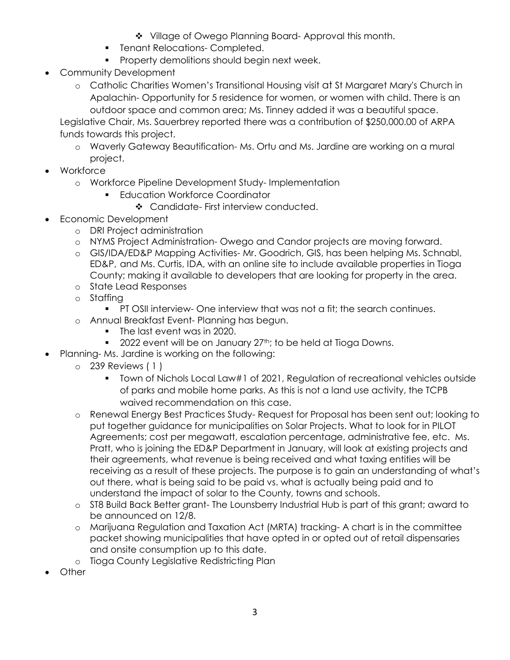- Village of Owego Planning Board-Approval this month.
- **Fanant Relocations- Completed.**
- **Property demolitions should begin next week.**
- Community Development
	- o Catholic Charities Women's Transitional Housing visit at St Margaret Mary's Church in Apalachin- Opportunity for 5 residence for women, or women with child. There is an outdoor space and common area; Ms. Tinney added it was a beautiful space.

Legislative Chair, Ms. Sauerbrey reported there was a contribution of \$250,000.00 of ARPA funds towards this project.

- o Waverly Gateway Beautification- Ms. Ortu and Ms. Jardine are working on a mural project.
- Workforce
	- o Workforce Pipeline Development Study- Implementation
		- **Education Workforce Coordinator** 
			- ❖ Candidate- First interview conducted.
- Economic Development
	- o DRI Project administration
	- o NYMS Project Administration- Owego and Candor projects are moving forward.
	- o GIS/IDA/ED&P Mapping Activities- Mr. Goodrich, GIS, has been helping Ms. Schnabl, ED&P, and Ms. Curtis, IDA, with an online site to include available properties in Tioga County; making it available to developers that are looking for property in the area.
	- o State Lead Responses
	- o Staffing
		- PT OSII interview- One interview that was not a fit; the search continues.
	- o Annual Breakfast Event- Planning has begun.
		- The last event was in 2020.
		- $\blacksquare$  2022 event will be on January 27<sup>th</sup>; to be held at Tioga Downs.
	- Planning- Ms. Jardine is working on the following:
		- o 239 Reviews ( 1 )
			- Town of Nichols Local Law#1 of 2021, Regulation of recreational vehicles outside of parks and mobile home parks. As this is not a land use activity, the TCPB waived recommendation on this case.
		- o Renewal Energy Best Practices Study- Request for Proposal has been sent out; looking to put together guidance for municipalities on Solar Projects. What to look for in PILOT Agreements; cost per megawatt, escalation percentage, administrative fee, etc. Ms. Pratt, who is joining the ED&P Department in January, will look at existing projects and their agreements, what revenue is being received and what taxing entities will be receiving as a result of these projects. The purpose is to gain an understanding of what's out there, what is being said to be paid vs. what is actually being paid and to understand the impact of solar to the County, towns and schools.
		- o ST8 Build Back Better grant- The Lounsberry Industrial Hub is part of this grant; award to be announced on 12/8.
		- o Marijuana Regulation and Taxation Act (MRTA) tracking- A chart is in the committee packet showing municipalities that have opted in or opted out of retail dispensaries and onsite consumption up to this date.
		- o Tioga County Legislative Redistricting Plan
- **Other**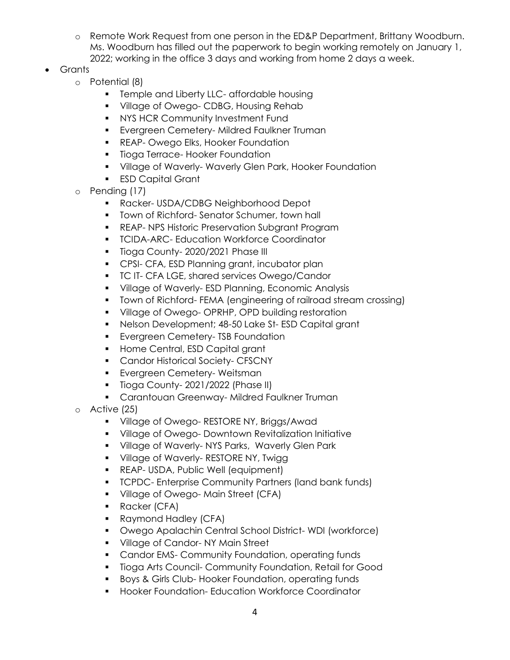- o Remote Work Request from one person in the ED&P Department, Brittany Woodburn. Ms. Woodburn has filled out the paperwork to begin working remotely on January 1, 2022; working in the office 3 days and working from home 2 days a week.
- Grants
	- o Potential (8)
		- **Temple and Liberty LLC- affordable housing**
		- **Village of Owego- CDBG, Housing Rehab**
		- **NYS HCR Community Investment Fund**
		- **Evergreen Cemetery-Mildred Faulkner Truman**
		- **REAP- Owego Elks, Hooker Foundation**
		- **Tioga Terrace- Hooker Foundation**
		- **Village of Waverly- Waverly Glen Park, Hooker Foundation**
		- **ESD Capital Grant**
	- o Pending (17)
		- Racker- USDA/CDBG Neighborhood Depot
		- **Town of Richford- Senator Schumer, town hall**
		- **REAP- NPS Historic Preservation Subgrant Program**
		- **TCIDA-ARC- Education Workforce Coordinator**
		- **Tioga County-2020/2021 Phase III**
		- **CPSI- CFA, ESD Planning grant, incubator plan**
		- **TC IT- CFA LGE, shared services Owego/Candor**
		- **Village of Waverly-ESD Planning, Economic Analysis**
		- Town of Richford- FEMA (engineering of railroad stream crossing)
		- **Village of Owego- OPRHP, OPD building restoration**
		- Nelson Development; 48-50 Lake St- ESD Capital grant
		- **Evergreen Cemetery- TSB Foundation**
		- **Home Central, ESD Capital grant**
		- **Candor Historical Society- CFSCNY**
		- **Evergreen Cemetery- Weitsman**
		- **Tioga County-2021/2022 (Phase II)**
		- **Carantouan Greenway-Mildred Faulkner Truman**
	- o Active (25)
		- **Village of Owego- RESTORE NY, Briggs/Awad**
		- **Village of Owego- Downtown Revitalization Initiative**
		- **Village of Waverly-NYS Parks, Waverly Glen Park**
		- **Village of Waverly- RESTORE NY, Twigg 1**
		- **REAP- USDA, Public Well (equipment)**
		- **TCPDC- Enterprise Community Partners (land bank funds)**
		- **Village of Owego-Main Street (CFA)**
		- **Racker (CFA)**
		- Raymond Hadley (CFA)
		- Owego Apalachin Central School District- WDI (workforce)
		- **Village of Candor-NY Main Street**
		- **Candor EMS- Community Foundation, operating funds**
		- **Tioga Arts Council- Community Foundation, Retail for Good**
		- **Boys & Girls Club- Hooker Foundation, operating funds**
		- **Hooker Foundation- Education Workforce Coordinator**